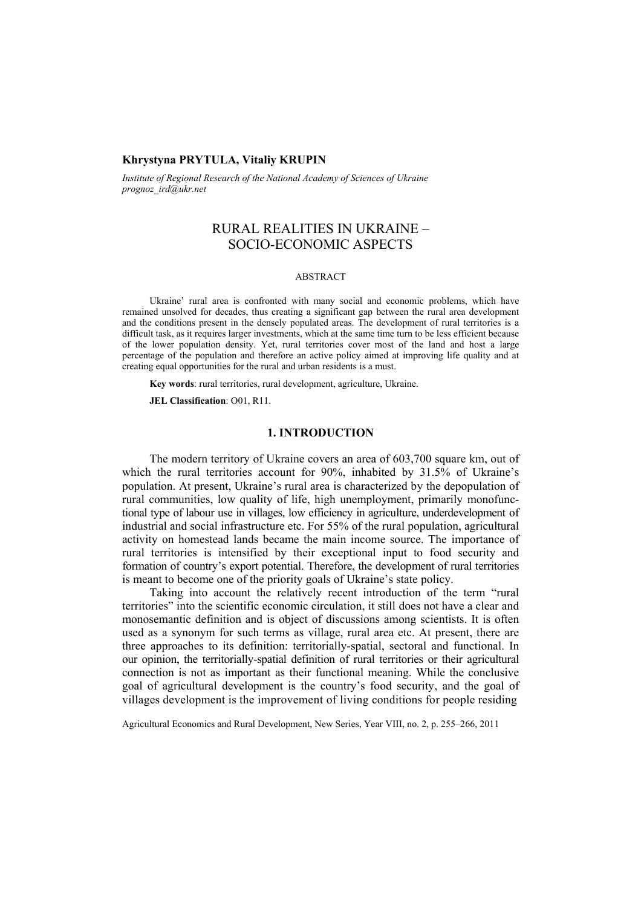# **Khrystyna PRYTULA, Vitaliy KRUPIN**

*Institute of Regional Research of the National Academy of Sciences of Ukraine prognoz\_ird@ukr.net* 

# RURAL REALITIES IN UKRAINE – SOCIO-ECONOMIC ASPECTS

### ABSTRACT

Ukraine' rural area is confronted with many social and economic problems, which have remained unsolved for decades, thus creating a significant gap between the rural area development and the conditions present in the densely populated areas. The development of rural territories is a difficult task, as it requires larger investments, which at the same time turn to be less efficient because of the lower population density. Yet, rural territories cover most of the land and host a large percentage of the population and therefore an active policy aimed at improving life quality and at creating equal opportunities for the rural and urban residents is a must.

**Key words**: rural territories, rural development, agriculture, Ukraine.

**JEL Classification**: O01, R11.

### **1. INTRODUCTION**

The modern territory of Ukraine covers an area of 603,700 square km, out of which the rural territories account for 90%, inhabited by 31.5% of Ukraine's population. At present, Ukraine's rural area is characterized by the depopulation of rural communities, low quality of life, high unemployment, primarily monofunctional type of labour use in villages, low efficiency in agriculture, underdevelopment of industrial and social infrastructure etc. For 55% of the rural population, agricultural activity on homestead lands became the main income source. The importance of rural territories is intensified by their exceptional input to food security and formation of country's export potential. Therefore, the development of rural territories is meant to become one of the priority goals of Ukraine's state policy.

Taking into account the relatively recent introduction of the term "rural territories" into the scientific economic circulation, it still does not have a clear and monosemantic definition and is object of discussions among scientists. It is often used as a synonym for such terms as village, rural area etc. At present, there are three approaches to its definition: territorially-spatial, sectoral and functional. In our opinion, the territorially-spatial definition of rural territories or their agricultural connection is not as important as their functional meaning. While the conclusive goal of agricultural development is the country's food security, and the goal of villages development is the improvement of living conditions for people residing

Agricultural Economics and Rural Development, New Series, Year VIII, no. 2, p. 255–266, 2011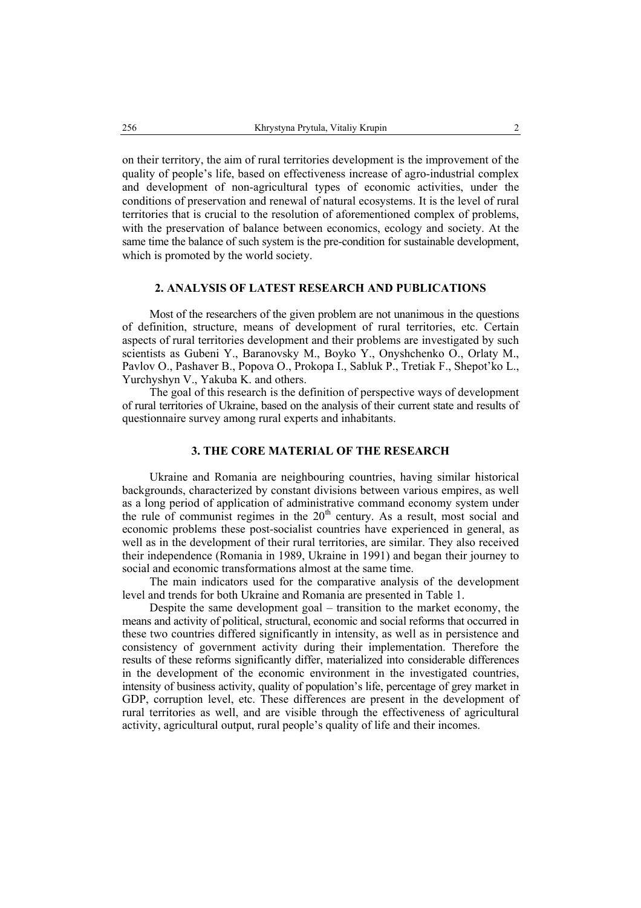on their territory, the aim of rural territories development is the improvement of the quality of people's life, based on effectiveness increase of agro-industrial complex and development of non-agricultural types of economic activities, under the conditions of preservation and renewal of natural ecosystems. It is the level of rural territories that is crucial to the resolution of aforementioned complex of problems, with the preservation of balance between economics, ecology and society. At the same time the balance of such system is the pre-condition for sustainable development, which is promoted by the world society.

# **2. ANALYSIS OF LATEST RESEARCH AND PUBLICATIONS**

Most of the researchers of the given problem are not unanimous in the questions of definition, structure, means of development of rural territories, etc. Certain aspects of rural territories development and their problems are investigated by such scientists as Gubeni Y., Baranovsky M., Boyko Y., Onyshchenko O., Orlaty M., Pavlov O., Pashaver B., Popova O., Prokopa I., Sabluk P., Tretiak F., Shepot'ko L., Yurchyshyn V., Yakuba K. and others.

The goal of this research is the definition of perspective ways of development of rural territories of Ukraine, based on the analysis of their current state and results of questionnaire survey among rural experts and inhabitants.

### **3. THE CORE MATERIAL OF THE RESEARCH**

Ukraine and Romania are neighbouring countries, having similar historical backgrounds, characterized by constant divisions between various empires, as well as a long period of application of administrative command economy system under the rule of communist regimes in the  $20<sup>th</sup>$  century. As a result, most social and economic problems these post-socialist countries have experienced in general, as well as in the development of their rural territories, are similar. They also received their independence (Romania in 1989, Ukraine in 1991) and began their journey to social and economic transformations almost at the same time.

The main indicators used for the comparative analysis of the development level and trends for both Ukraine and Romania are presented in Table 1.

Despite the same development goal – transition to the market economy, the means and activity of political, structural, economic and social reforms that occurred in these two countries differed significantly in intensity, as well as in persistence and consistency of government activity during their implementation. Therefore the results of these reforms significantly differ, materialized into considerable differences in the development of the economic environment in the investigated countries, intensity of business activity, quality of population's life, percentage of grey market in GDP, corruption level, etc. These differences are present in the development of rural territories as well, and are visible through the effectiveness of agricultural activity, agricultural output, rural people's quality of life and their incomes.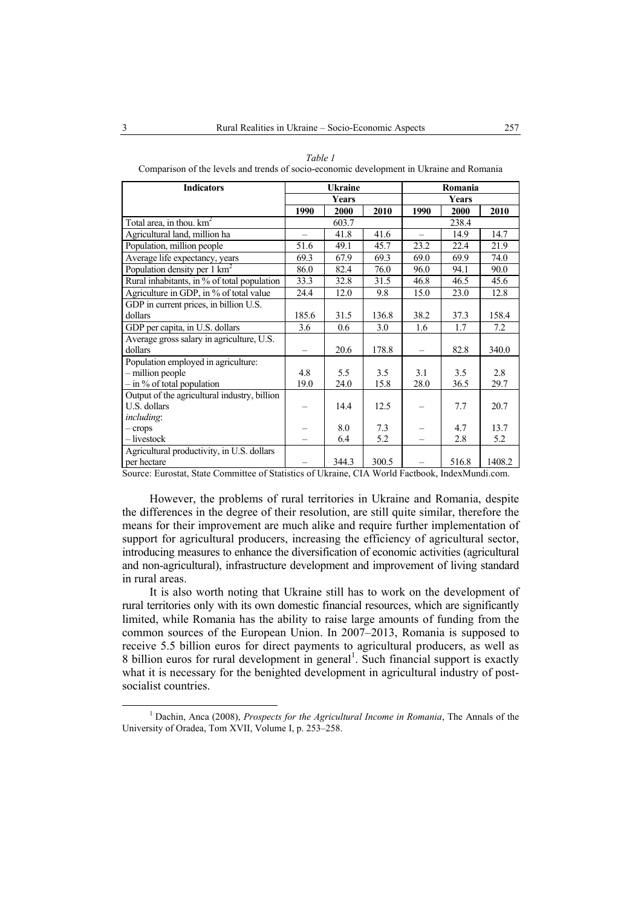| <b>Indicators</b>                            | <b>Ukraine</b>           |       |       | Romania                  |       |        |
|----------------------------------------------|--------------------------|-------|-------|--------------------------|-------|--------|
|                                              | <b>Years</b>             |       |       | Years                    |       |        |
|                                              | 1990                     | 2000  | 2010  | 1990                     | 2000  | 2010   |
| Total area, in thou. $km^2$                  | 603.7                    |       |       | 238.4                    |       |        |
| Agricultural land, million ha                | $\overline{\phantom{0}}$ | 41.8  | 41.6  | $\overline{\phantom{0}}$ | 14.9  | 14.7   |
| Population, million people                   | 51.6                     | 49.1  | 45.7  | 23.2                     | 22.4  | 21.9   |
| Average life expectancy, years               | 69.3                     | 67.9  | 69.3  | 69.0                     | 69.9  | 74.0   |
| Population density per $1 \text{ km}^2$      | 86.0                     | 82.4  | 76.0  | 96.0                     | 94.1  | 90.0   |
| Rural inhabitants, in % of total population  | 33.3                     | 32.8  | 31.5  | 46.8                     | 46.5  | 45.6   |
| Agriculture in GDP, in % of total value      | 24.4                     | 12.0  | 9.8   | 15.0                     | 23.0  | 12.8   |
| GDP in current prices, in billion U.S.       |                          |       |       |                          |       |        |
| dollars                                      | 185.6                    | 31.5  | 136.8 | 38.2                     | 37.3  | 158.4  |
| GDP per capita, in U.S. dollars              | 3.6                      | 0.6   | 3.0   | 1.6                      | 1.7   | 7.2    |
| Average gross salary in agriculture, U.S.    |                          |       |       |                          |       |        |
| dollars                                      |                          | 20.6  | 178.8 |                          | 82.8  | 340.0  |
| Population employed in agriculture:          |                          |       |       |                          |       |        |
| - million people                             | 4.8                      | 5.5   | 3.5   | 3.1                      | 3.5   | 2.8    |
| $-$ in % of total population                 | 19.0                     | 24.0  | 15.8  | 28.0                     | 36.5  | 29.7   |
| Output of the agricultural industry, billion |                          |       |       |                          |       |        |
| U.S. dollars                                 |                          | 14.4  | 12.5  |                          | 7.7   | 20.7   |
| <i>including:</i>                            |                          |       |       |                          |       |        |
| $-crops$                                     |                          | 8.0   | 7.3   |                          | 4.7   | 13.7   |
| - livestock                                  |                          | 6.4   | 5.2   |                          | 2.8   | 5.2    |
| Agricultural productivity, in U.S. dollars   |                          |       |       |                          |       |        |
| per hectare                                  |                          | 344.3 | 300.5 |                          | 516.8 | 1408.2 |

*Table 1* 

Comparison of the levels and trends of socio-economic development in Ukraine and Romania

Source: Eurostat, State Committee of Statistics of Ukraine, CIA World Factbook, IndexMundi.com.

However, the problems of rural territories in Ukraine and Romania, despite the differences in the degree of their resolution, are still quite similar, therefore the means for their improvement are much alike and require further implementation of support for agricultural producers, increasing the efficiency of agricultural sector, introducing measures to enhance the diversification of economic activities (agricultural and non-agricultural), infrastructure development and improvement of living standard in rural areas.

It is also worth noting that Ukraine still has to work on the development of rural territories only with its own domestic financial resources, which are significantly limited, while Romania has the ability to raise large amounts of funding from the common sources of the European Union. In 2007–2013, Romania is supposed to receive 5.5 billion euros for direct payments to agricultural producers, as well as 8 billion euros for rural development in general<sup>1</sup>. Such financial support is exactly what it is necessary for the benighted development in agricultural industry of postsocialist countries.

 $\frac{1}{1}$  Dachin, Anca (2008), *Prospects for the Agricultural Income in Romania*, The Annals of the University of Oradea, Tom XVII, Volume I, p. 253–258.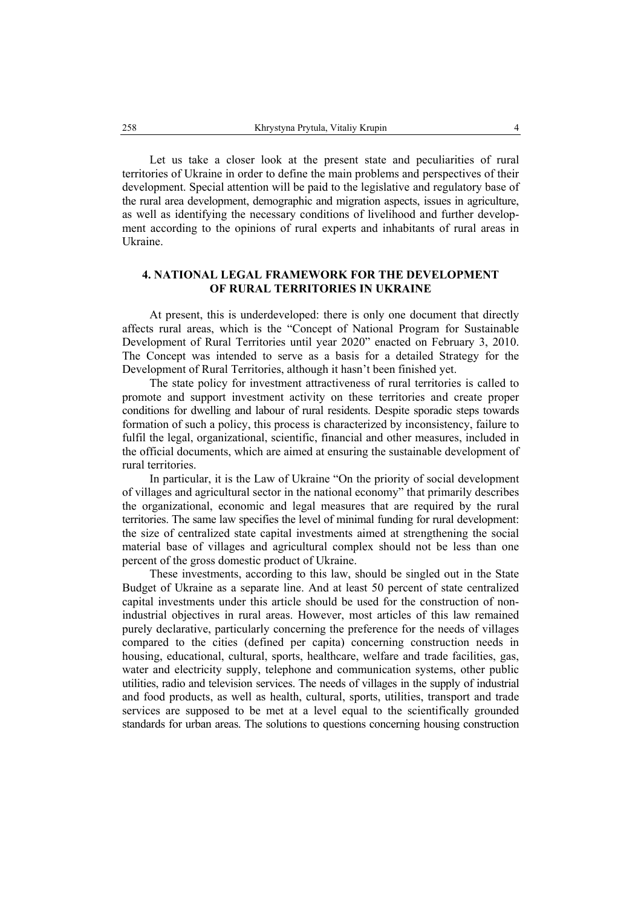Let us take a closer look at the present state and peculiarities of rural territories of Ukraine in order to define the main problems and perspectives of their development. Special attention will be paid to the legislative and regulatory base of the rural area development, demographic and migration aspects, issues in agriculture, as well as identifying the necessary conditions of livelihood and further development according to the opinions of rural experts and inhabitants of rural areas in Ukraine.

# **4. NATIONAL LEGAL FRAMEWORK FOR THE DEVELOPMENT OF RURAL TERRITORIES IN UKRAINE**

At present, this is underdeveloped: there is only one document that directly affects rural areas, which is the "Concept of National Program for Sustainable Development of Rural Territories until year 2020" enacted on February 3, 2010. The Concept was intended to serve as a basis for a detailed Strategy for the Development of Rural Territories, although it hasn't been finished yet.

The state policy for investment attractiveness of rural territories is called to promote and support investment activity on these territories and create proper conditions for dwelling and labour of rural residents. Despite sporadic steps towards formation of such a policy, this process is characterized by inconsistency, failure to fulfil the legal, organizational, scientific, financial and other measures, included in the official documents, which are aimed at ensuring the sustainable development of rural territories.

In particular, it is the Law of Ukraine "On the priority of social development of villages and agricultural sector in the national economy" that primarily describes the organizational, economic and legal measures that are required by the rural territories. The same law specifies the level of minimal funding for rural development: the size of centralized state capital investments aimed at strengthening the social material base of villages and agricultural complex should not be less than one percent of the gross domestic product of Ukraine.

These investments, according to this law, should be singled out in the State Budget of Ukraine as a separate line. And at least 50 percent of state centralized capital investments under this article should be used for the construction of nonindustrial objectives in rural areas. However, most articles of this law remained purely declarative, particularly concerning the preference for the needs of villages compared to the cities (defined per capita) concerning construction needs in housing, educational, cultural, sports, healthcare, welfare and trade facilities, gas, water and electricity supply, telephone and communication systems, other public utilities, radio and television services. The needs of villages in the supply of industrial and food products, as well as health, cultural, sports, utilities, transport and trade services are supposed to be met at a level equal to the scientifically grounded standards for urban areas. The solutions to questions concerning housing construction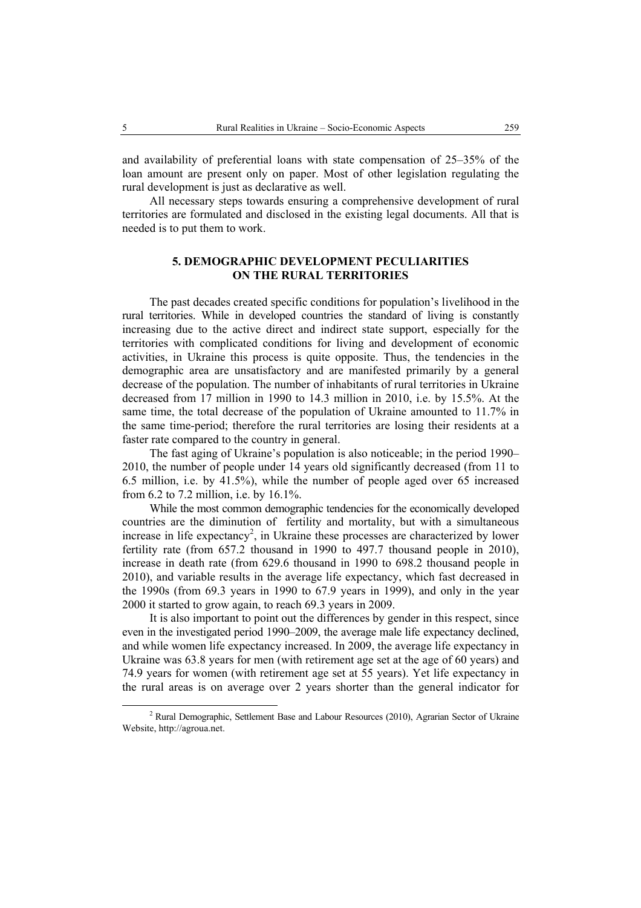and availability of preferential loans with state compensation of 25–35% of the loan amount are present only on paper. Most of other legislation regulating the rural development is just as declarative as well.

All necessary steps towards ensuring a comprehensive development of rural territories are formulated and disclosed in the existing legal documents. All that is needed is to put them to work.

# **5. DEMOGRAPHIC DEVELOPMENT PECULIARITIES ON THE RURAL TERRITORIES**

The past decades created specific conditions for population's livelihood in the rural territories. While in developed countries the standard of living is constantly increasing due to the active direct and indirect state support, especially for the territories with complicated conditions for living and development of economic activities, in Ukraine this process is quite opposite. Thus, the tendencies in the demographic area are unsatisfactory and are manifested primarily by a general decrease of the population. The number of inhabitants of rural territories in Ukraine decreased from 17 million in 1990 to 14.3 million in 2010, i.e. by 15.5%. At the same time, the total decrease of the population of Ukraine amounted to 11.7% in the same time-period; therefore the rural territories are losing their residents at a faster rate compared to the country in general.

The fast aging of Ukraine's population is also noticeable; in the period 1990– 2010, the number of people under 14 years old significantly decreased (from 11 to 6.5 million, i.e. by 41.5%), while the number of people aged over 65 increased from 6.2 to 7.2 million, i.e. by 16.1%.

While the most common demographic tendencies for the economically developed countries are the diminution of fertility and mortality, but with a simultaneous increase in life expectancy<sup>2</sup>, in Ukraine these processes are characterized by lower fertility rate (from 657.2 thousand in 1990 to 497.7 thousand people in 2010), increase in death rate (from 629.6 thousand in 1990 to 698.2 thousand people in 2010), and variable results in the average life expectancy, which fast decreased in the 1990s (from 69.3 years in 1990 to 67.9 years in 1999), and only in the year 2000 it started to grow again, to reach 69.3 years in 2009.

It is also important to point out the differences by gender in this respect, since even in the investigated period 1990–2009, the average male life expectancy declined, and while women life expectancy increased. In 2009, the average life expectancy in Ukraine was 63.8 years for men (with retirement age set at the age of 60 years) and 74.9 years for women (with retirement age set at 55 years). Yet life expectancy in the rural areas is on average over 2 years shorter than the general indicator for

 <sup>2</sup>  $2$  Rural Demographic, Settlement Base and Labour Resources (2010), Agrarian Sector of Ukraine Website, http://agroua.net.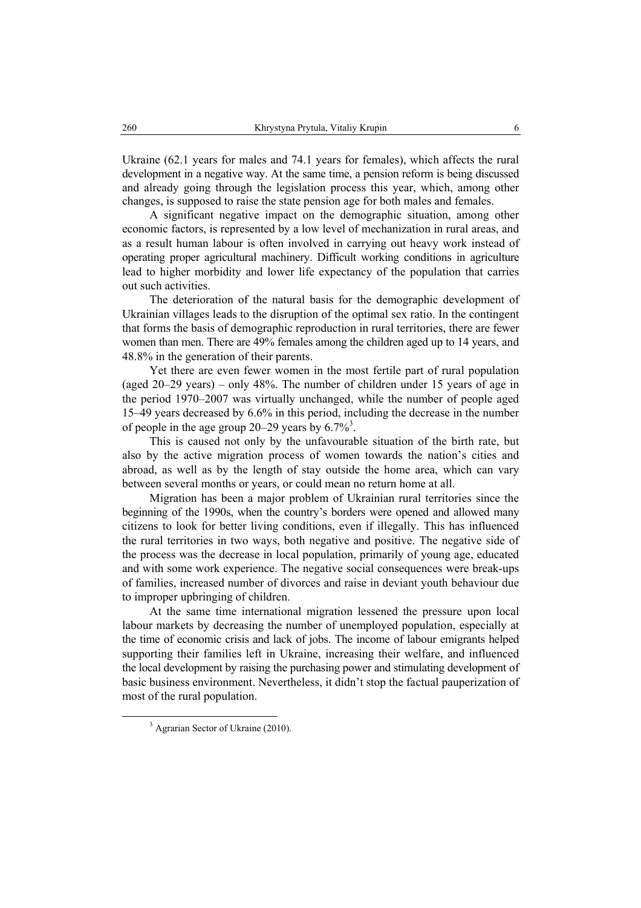Ukraine (62.1 years for males and 74.1 years for females), which affects the rural development in a negative way. At the same time, a pension reform is being discussed and already going through the legislation process this year, which, among other changes, is supposed to raise the state pension age for both males and females.

A significant negative impact on the demographic situation, among other economic factors, is represented by a low level of mechanization in rural areas, and as a result human labour is often involved in carrying out heavy work instead of operating proper agricultural machinery. Difficult working conditions in agriculture lead to higher morbidity and lower life expectancy of the population that carries out such activities.

The deterioration of the natural basis for the demographic development of Ukrainian villages leads to the disruption of the optimal sex ratio. In the contingent that forms the basis of demographic reproduction in rural territories, there are fewer women than men. There are 49% females among the children aged up to 14 years, and 48.8% in the generation of their parents.

Yet there are even fewer women in the most fertile part of rural population (aged 20–29 years) – only 48%. The number of children under 15 years of age in the period 1970–2007 was virtually unchanged, while the number of people aged 15–49 years decreased by 6.6% in this period, including the decrease in the number of people in the age group 20–29 years by  $6.7\%$ <sup>3</sup>.

This is caused not only by the unfavourable situation of the birth rate, but also by the active migration process of women towards the nation's cities and abroad, as well as by the length of stay outside the home area, which can vary between several months or years, or could mean no return home at all.

Migration has been a major problem of Ukrainian rural territories since the beginning of the 1990s, when the country's borders were opened and allowed many citizens to look for better living conditions, even if illegally. This has influenced the rural territories in two ways, both negative and positive. The negative side of the process was the decrease in local population, primarily of young age, educated and with some work experience. The negative social consequences were break-ups of families, increased number of divorces and raise in deviant youth behaviour due to improper upbringing of children.

At the same time international migration lessened the pressure upon local labour markets by decreasing the number of unemployed population, especially at the time of economic crisis and lack of jobs. The income of labour emigrants helped supporting their families left in Ukraine, increasing their welfare, and influenced the local development by raising the purchasing power and stimulating development of basic business environment. Nevertheless, it didn't stop the factual pauperization of most of the rural population.

 $\frac{3}{3}$  $3$  Agrarian Sector of Ukraine (2010).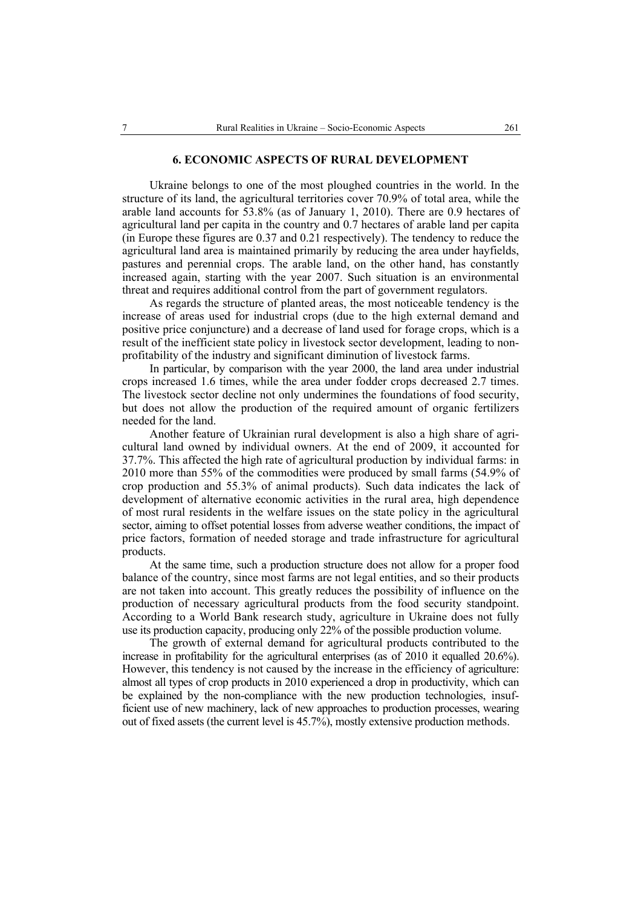#### **6. ECONOMIC ASPECTS OF RURAL DEVELOPMENT**

Ukraine belongs to one of the most ploughed countries in the world. In the structure of its land, the agricultural territories cover 70.9% of total area, while the arable land accounts for 53.8% (as of January 1, 2010). There are 0.9 hectares of agricultural land per capita in the country and 0.7 hectares of arable land per capita (in Europe these figures are 0.37 and 0.21 respectively). The tendency to reduce the agricultural land area is maintained primarily by reducing the area under hayfields, pastures and perennial crops. The arable land, on the other hand, has constantly increased again, starting with the year 2007. Such situation is an environmental threat and requires additional control from the part of government regulators.

As regards the structure of planted areas, the most noticeable tendency is the increase of areas used for industrial crops (due to the high external demand and positive price conjuncture) and a decrease of land used for forage crops, which is a result of the inefficient state policy in livestock sector development, leading to nonprofitability of the industry and significant diminution of livestock farms.

In particular, by comparison with the year 2000, the land area under industrial crops increased 1.6 times, while the area under fodder crops decreased 2.7 times. The livestock sector decline not only undermines the foundations of food security, but does not allow the production of the required amount of organic fertilizers needed for the land.

Another feature of Ukrainian rural development is also a high share of agricultural land owned by individual owners. At the end of 2009, it accounted for 37.7%. This affected the high rate of agricultural production by individual farms: in 2010 more than 55% of the commodities were produced by small farms (54.9% of crop production and 55.3% of animal products). Such data indicates the lack of development of alternative economic activities in the rural area, high dependence of most rural residents in the welfare issues on the state policy in the agricultural sector, aiming to offset potential losses from adverse weather conditions, the impact of price factors, formation of needed storage and trade infrastructure for agricultural products.

At the same time, such a production structure does not allow for a proper food balance of the country, since most farms are not legal entities, and so their products are not taken into account. This greatly reduces the possibility of influence on the production of necessary agricultural products from the food security standpoint. According to a World Bank research study, agriculture in Ukraine does not fully use its production capacity, producing only 22% of the possible production volume.

The growth of external demand for agricultural products contributed to the increase in profitability for the agricultural enterprises (as of 2010 it equalled 20.6%). However, this tendency is not caused by the increase in the efficiency of agriculture: almost all types of crop products in 2010 experienced a drop in productivity, which can be explained by the non-compliance with the new production technologies, insufficient use of new machinery, lack of new approaches to production processes, wearing out of fixed assets (the current level is 45.7%), mostly extensive production methods.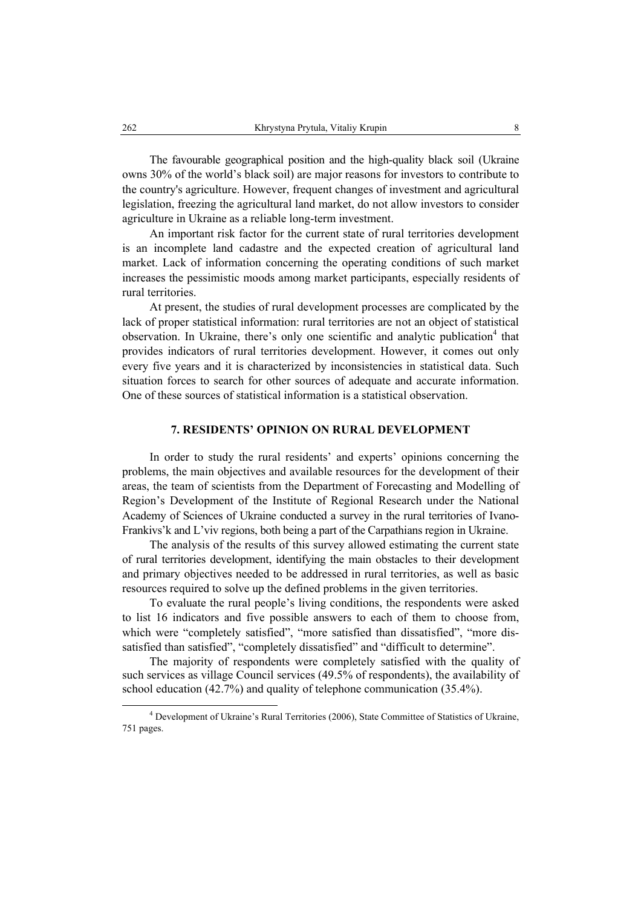The favourable geographical position and the high-quality black soil (Ukraine owns 30% of the world's black soil) are major reasons for investors to contribute to the country's agriculture. However, frequent changes of investment and agricultural legislation, freezing the agricultural land market, do not allow investors to consider agriculture in Ukraine as a reliable long-term investment.

An important risk factor for the current state of rural territories development is an incomplete land cadastre and the expected creation of agricultural land market. Lack of information concerning the operating conditions of such market increases the pessimistic moods among market participants, especially residents of rural territories.

At present, the studies of rural development processes are complicated by the lack of proper statistical information: rural territories are not an object of statistical observation. In Ukraine, there's only one scientific and analytic publication<sup>4</sup> that provides indicators of rural territories development. However, it comes out only every five years and it is characterized by inconsistencies in statistical data. Such situation forces to search for other sources of adequate and accurate information. One of these sources of statistical information is a statistical observation.

#### **7. RESIDENTS' OPINION ON RURAL DEVELOPMENT**

In order to study the rural residents' and experts' opinions concerning the problems, the main objectives and available resources for the development of their areas, the team of scientists from the Department of Forecasting and Modelling of Region's Development of the Institute of Regional Research under the National Academy of Sciences of Ukraine conducted a survey in the rural territories of Ivano-Frankivs'k and L'viv regions, both being a part of the Carpathians region in Ukraine.

The analysis of the results of this survey allowed estimating the current state of rural territories development, identifying the main obstacles to their development and primary objectives needed to be addressed in rural territories, as well as basic resources required to solve up the defined problems in the given territories.

To evaluate the rural people's living conditions, the respondents were asked to list 16 indicators and five possible answers to each of them to choose from, which were "completely satisfied", "more satisfied than dissatisfied", "more dissatisfied than satisfied", "completely dissatisfied" and "difficult to determine".

The majority of respondents were completely satisfied with the quality of such services as village Council services (49.5% of respondents), the availability of school education (42.7%) and quality of telephone communication (35.4%).

 $\overline{4}$  Development of Ukraine's Rural Territories (2006), State Committee of Statistics of Ukraine, 751 pages.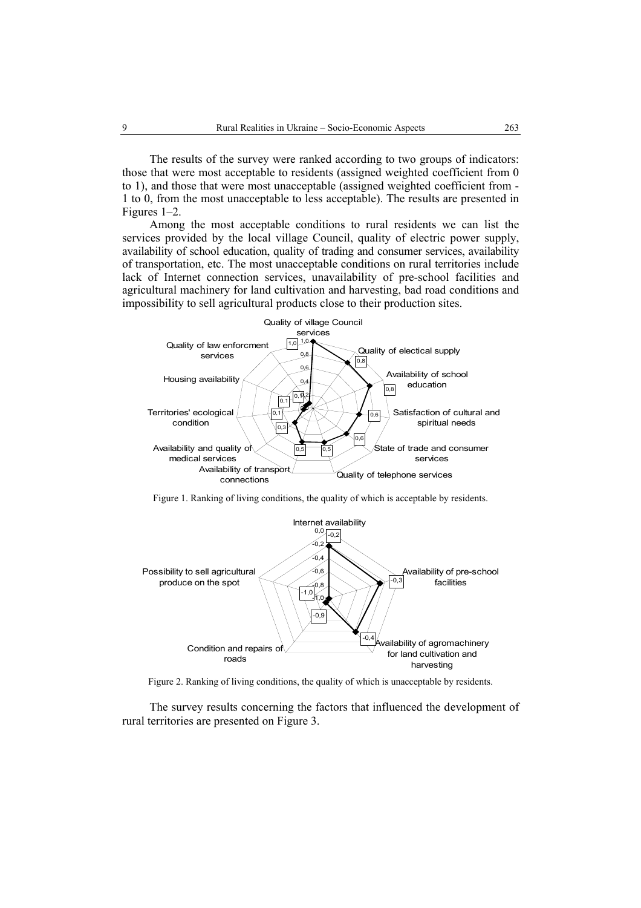The results of the survey were ranked according to two groups of indicators: those that were most acceptable to residents (assigned weighted coefficient from 0 to 1), and those that were most unacceptable (assigned weighted coefficient from - 1 to 0, from the most unacceptable to less acceptable). The results are presented in Figures 1–2.

Among the most acceptable conditions to rural residents we can list the services provided by the local village Council, quality of electric power supply, availability of school education, quality of trading and consumer services, availability of transportation, etc. The most unacceptable conditions on rural territories include lack of Internet connection services, unavailability of pre-school facilities and agricultural machinery for land cultivation and harvesting, bad road conditions and impossibility to sell agricultural products close to their production sites.



Figure 1. Ranking of living conditions, the quality of which is acceptable by residents.



Figure 2. Ranking of living conditions, the quality of which is unacceptable by residents.

The survey results concerning the factors that influenced the development of rural territories are presented on Figure 3.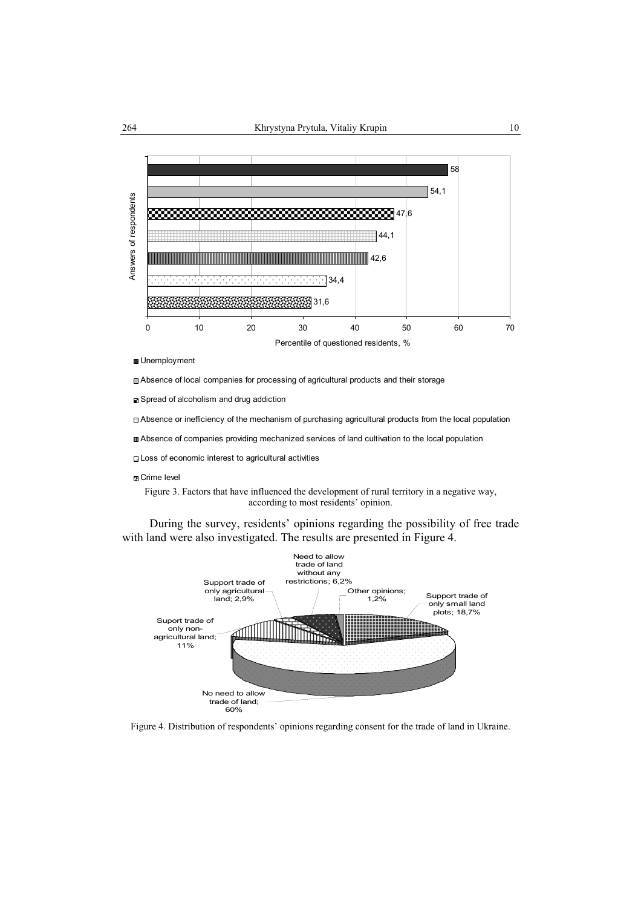

Unemployment

Absence of local companies for processing of agricultural products and their storage

■ Spread of alcoholism and drug addiction

Absence or inefficiency of the mechanism of purchasing agricultural products from the local population

Absence of companies providing mechanized services of land cultivation to the local population

Loss of economic interest to agricultural activities

#### **E** Crime level

Figure 3. Factors that have influenced the development of rural territory in a negative way, according to most residents' opinion.

During the survey, residents' opinions regarding the possibility of free trade with land were also investigated. The results are presented in Figure 4.



Figure 4. Distribution of respondents' opinions regarding consent for the trade of land in Ukraine.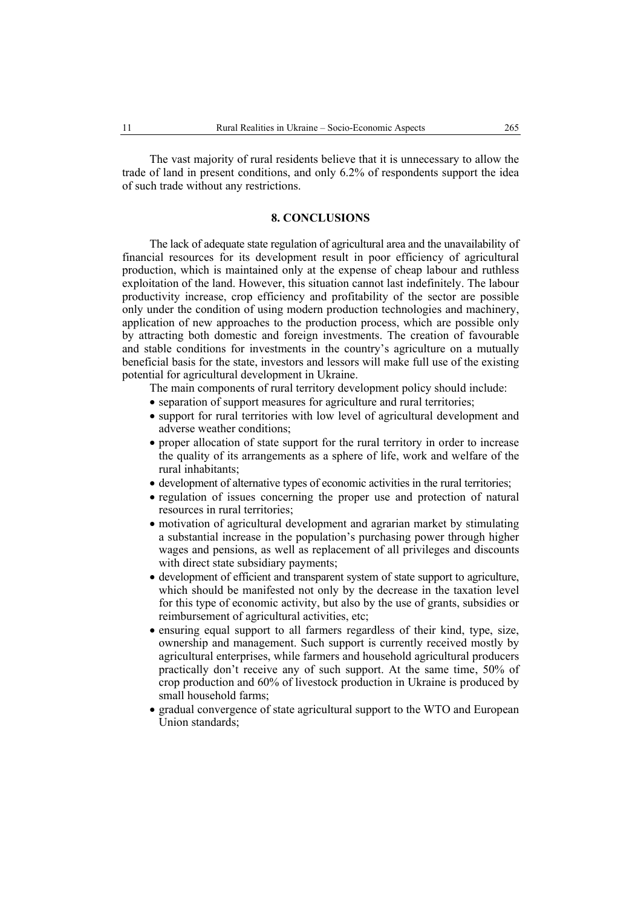The vast majority of rural residents believe that it is unnecessary to allow the trade of land in present conditions, and only 6.2% of respondents support the idea of such trade without any restrictions.

# **8. CONCLUSIONS**

The lack of adequate state regulation of agricultural area and the unavailability of financial resources for its development result in poor efficiency of agricultural production, which is maintained only at the expense of cheap labour and ruthless exploitation of the land. However, this situation cannot last indefinitely. The labour productivity increase, crop efficiency and profitability of the sector are possible only under the condition of using modern production technologies and machinery, application of new approaches to the production process, which are possible only by attracting both domestic and foreign investments. The creation of favourable and stable conditions for investments in the country's agriculture on a mutually beneficial basis for the state, investors and lessors will make full use of the existing potential for agricultural development in Ukraine.

The main components of rural territory development policy should include:

- separation of support measures for agriculture and rural territories;
- support for rural territories with low level of agricultural development and adverse weather conditions;
- proper allocation of state support for the rural territory in order to increase the quality of its arrangements as a sphere of life, work and welfare of the rural inhabitants;
- development of alternative types of economic activities in the rural territories;
- regulation of issues concerning the proper use and protection of natural resources in rural territories;
- motivation of agricultural development and agrarian market by stimulating a substantial increase in the population's purchasing power through higher wages and pensions, as well as replacement of all privileges and discounts with direct state subsidiary payments;
- development of efficient and transparent system of state support to agriculture, which should be manifested not only by the decrease in the taxation level for this type of economic activity, but also by the use of grants, subsidies or reimbursement of agricultural activities, etc;
- ensuring equal support to all farmers regardless of their kind, type, size, ownership and management. Such support is currently received mostly by agricultural enterprises, while farmers and household agricultural producers practically don't receive any of such support. At the same time, 50% of crop production and 60% of livestock production in Ukraine is produced by small household farms;
- gradual convergence of state agricultural support to the WTO and European Union standards;